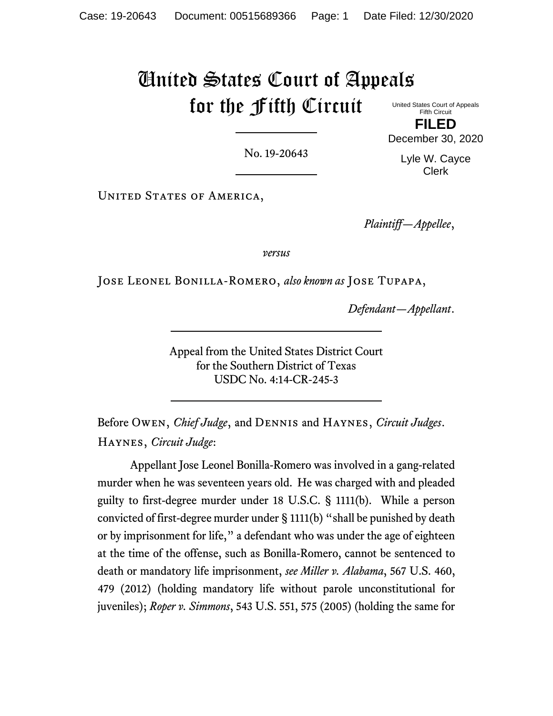# United States Court of Appeals for the Fifth Circuit

United States Court of Appeals Fifth Circuit **FILED**

No. 19-20643

Lyle W. Cayce Clerk

December 30, 2020

UNITED STATES OF AMERICA,

*Plaintiff—Appellee*,

*versus*

Jose Leonel Bonilla-Romero, *also known as* Jose Tupapa,

*Defendant—Appellant*.

Appeal from the United States District Court for the Southern District of Texas USDC No. 4:14-CR-245-3

Before Owen, *Chief Judge*, and Dennis and Haynes, *Circuit Judges*. Haynes, *Circuit Judge*:

Appellant Jose Leonel Bonilla-Romero was involved in a gang-related murder when he was seventeen years old. He was charged with and pleaded guilty to first-degree murder under 18 U.S.C. § 1111(b). While a person convicted of first-degree murder under § 1111(b) "shall be punished by death or by imprisonment for life," a defendant who was under the age of eighteen at the time of the offense, such as Bonilla-Romero, cannot be sentenced to death or mandatory life imprisonment, *see Miller v. Alabama*, 567 U.S. 460, 479 (2012) (holding mandatory life without parole unconstitutional for juveniles); *Roper v. Simmons*, 543 U.S. 551, 575 (2005) (holding the same for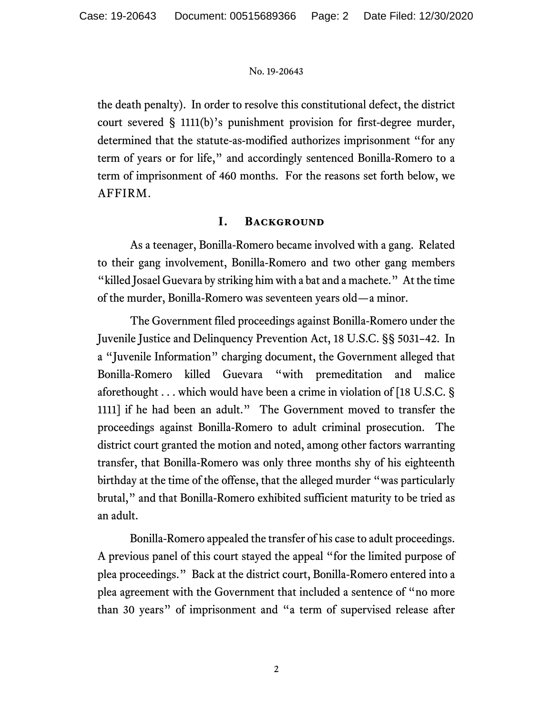the death penalty). In order to resolve this constitutional defect, the district court severed § 1111(b)'s punishment provision for first-degree murder, determined that the statute-as-modified authorizes imprisonment "for any term of years or for life," and accordingly sentenced Bonilla-Romero to a term of imprisonment of 460 months. For the reasons set forth below, we AFFIRM.

## **I. Background**

As a teenager, Bonilla-Romero became involved with a gang. Related to their gang involvement, Bonilla-Romero and two other gang members "killed Josael Guevara by striking him with a bat and a machete." At the time of the murder, Bonilla-Romero was seventeen years old—a minor.

The Government filed proceedings against Bonilla-Romero under the Juvenile Justice and Delinquency Prevention Act, 18 U.S.C. §§ 5031–42. In a "Juvenile Information" charging document, the Government alleged that Bonilla-Romero killed Guevara "with premeditation and malice aforethought . . . which would have been a crime in violation of [18 U.S.C. § 1111] if he had been an adult." The Government moved to transfer the proceedings against Bonilla-Romero to adult criminal prosecution. The district court granted the motion and noted, among other factors warranting transfer, that Bonilla-Romero was only three months shy of his eighteenth birthday at the time of the offense, that the alleged murder "was particularly brutal," and that Bonilla-Romero exhibited sufficient maturity to be tried as an adult.

Bonilla-Romero appealed the transfer of his case to adult proceedings. A previous panel of this court stayed the appeal "for the limited purpose of plea proceedings." Back at the district court, Bonilla-Romero entered into a plea agreement with the Government that included a sentence of "no more than 30 years" of imprisonment and "a term of supervised release after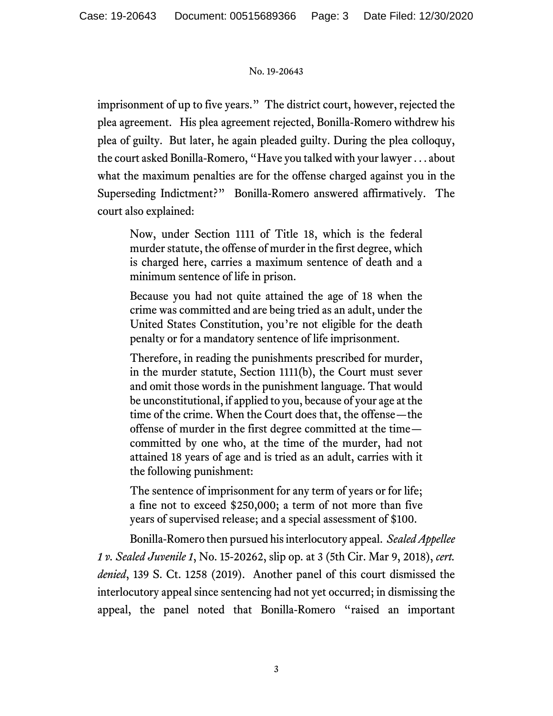imprisonment of up to five years." The district court, however, rejected the plea agreement. His plea agreement rejected, Bonilla-Romero withdrew his plea of guilty. But later, he again pleaded guilty. During the plea colloquy, the court asked Bonilla-Romero, "Have you talked with your lawyer . . . about what the maximum penalties are for the offense charged against you in the Superseding Indictment?" Bonilla-Romero answered affirmatively. The court also explained:

Now, under Section 1111 of Title 18, which is the federal murder statute, the offense of murder in the first degree, which is charged here, carries a maximum sentence of death and a minimum sentence of life in prison.

Because you had not quite attained the age of 18 when the crime was committed and are being tried as an adult, under the United States Constitution, you're not eligible for the death penalty or for a mandatory sentence of life imprisonment.

Therefore, in reading the punishments prescribed for murder, in the murder statute, Section 1111(b), the Court must sever and omit those words in the punishment language. That would be unconstitutional, if applied to you, because of your age at the time of the crime. When the Court does that, the offense—the offense of murder in the first degree committed at the time committed by one who, at the time of the murder, had not attained 18 years of age and is tried as an adult, carries with it the following punishment:

The sentence of imprisonment for any term of years or for life; a fine not to exceed \$250,000; a term of not more than five years of supervised release; and a special assessment of \$100.

Bonilla-Romero then pursued his interlocutory appeal. *Sealed Appellee 1 v. Sealed Juvenile 1*, No. 15-20262, slip op. at 3 (5th Cir. Mar 9, 2018), *cert. denied*, 139 S. Ct. 1258 (2019). Another panel of this court dismissed the interlocutory appeal since sentencing had not yet occurred; in dismissing the appeal, the panel noted that Bonilla-Romero "raised an important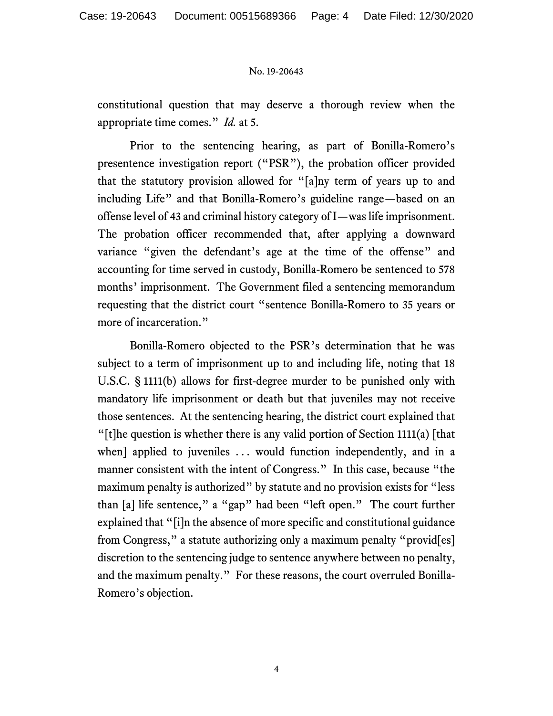constitutional question that may deserve a thorough review when the appropriate time comes." *Id.* at 5.

Prior to the sentencing hearing, as part of Bonilla-Romero's presentence investigation report ("PSR"), the probation officer provided that the statutory provision allowed for "[a]ny term of years up to and including Life" and that Bonilla-Romero's guideline range—based on an offense level of 43 and criminal history category of I—was life imprisonment. The probation officer recommended that, after applying a downward variance "given the defendant's age at the time of the offense" and accounting for time served in custody, Bonilla-Romero be sentenced to 578 months' imprisonment. The Government filed a sentencing memorandum requesting that the district court "sentence Bonilla-Romero to 35 years or more of incarceration."

Bonilla-Romero objected to the PSR's determination that he was subject to a term of imprisonment up to and including life, noting that 18 U.S.C. § 1111(b) allows for first-degree murder to be punished only with mandatory life imprisonment or death but that juveniles may not receive those sentences. At the sentencing hearing, the district court explained that "[t]he question is whether there is any valid portion of Section 1111(a)  $[that]$ when] applied to juveniles ... would function independently, and in a manner consistent with the intent of Congress." In this case, because "the maximum penalty is authorized" by statute and no provision exists for "less" than [a] life sentence," a "gap" had been "left open." The court further explained that "[i]n the absence of more specific and constitutional guidance from Congress," a statute authorizing only a maximum penalty "provid[es] discretion to the sentencing judge to sentence anywhere between no penalty, and the maximum penalty." For these reasons, the court overruled Bonilla-Romero's objection.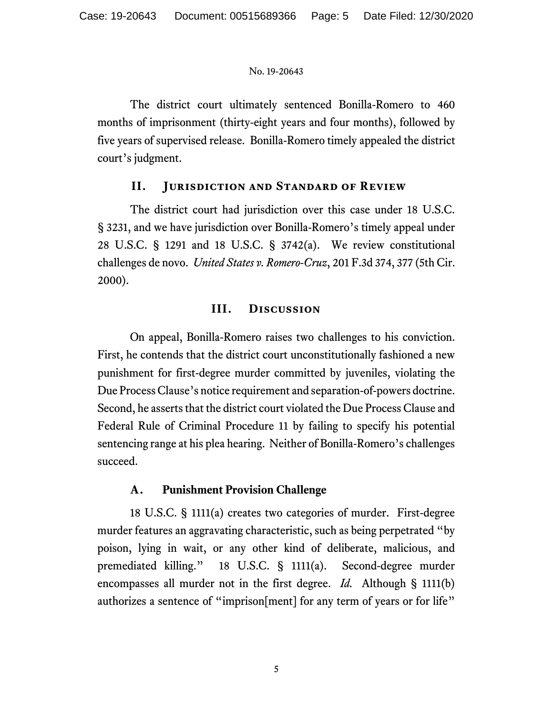The district court ultimately sentenced Bonilla-Romero to 460 months of imprisonment (thirty-eight years and four months), followed by five years of supervised release. Bonilla-Romero timely appealed the district court's judgment.

# **II. Jurisdiction and Standard of Review**

The district court had jurisdiction over this case under 18 U.S.C. § 3231, and we have jurisdiction over Bonilla-Romero's timely appeal under 28 U.S.C. § 1291 and 18 U.S.C. § 3742(a). We review constitutional challenges de novo. *United States v. Romero-Cruz*, 201 F.3d 374, 377 (5th Cir. 2000).

# **III. Discussion**

On appeal, Bonilla-Romero raises two challenges to his conviction. First, he contends that the district court unconstitutionally fashioned a new punishment for first-degree murder committed by juveniles, violating the Due Process Clause's notice requirement and separation-of-powers doctrine. Second, he asserts that the district court violated the Due Process Clause and Federal Rule of Criminal Procedure 11 by failing to specify his potential sentencing range at his plea hearing. Neither of Bonilla-Romero's challenges succeed.

# **A. Punishment Provision Challenge**

18 U.S.C. § 1111(a) creates two categories of murder. First-degree murder features an aggravating characteristic, such as being perpetrated "by poison, lying in wait, or any other kind of deliberate, malicious, and premediated killing." 18 U.S.C. § 1111(a). Second-degree murder encompasses all murder not in the first degree. *Id.* Although § 1111(b) authorizes a sentence of "imprison[ment] for any term of years or for life"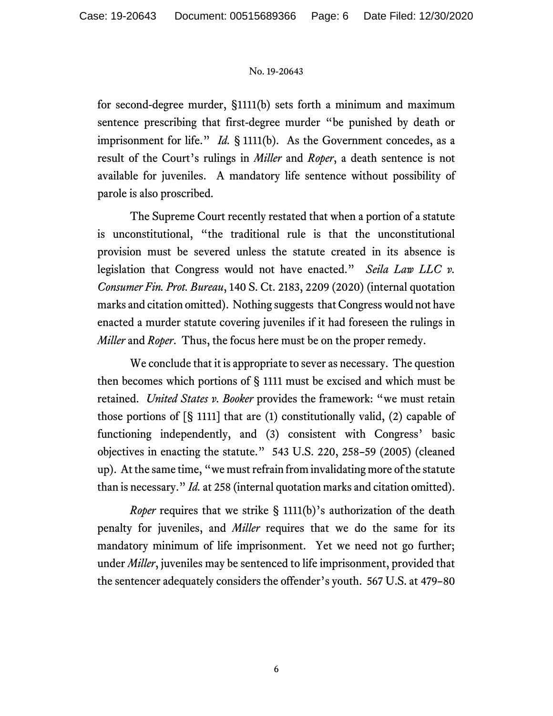for second-degree murder, §1111(b) sets forth a minimum and maximum sentence prescribing that first-degree murder "be punished by death or imprisonment for life." *Id.* § 1111(b). As the Government concedes, as a result of the Court's rulings in *Miller* and *Roper*, a death sentence is not available for juveniles. A mandatory life sentence without possibility of parole is also proscribed.

The Supreme Court recently restated that when a portion of a statute is unconstitutional, "the traditional rule is that the unconstitutional provision must be severed unless the statute created in its absence is legislation that Congress would not have enacted." *Seila Law LLC v. Consumer Fin. Prot. Bureau*, 140 S. Ct. 2183, 2209 (2020) (internal quotation marks and citation omitted). Nothing suggests that Congress would not have enacted a murder statute covering juveniles if it had foreseen the rulings in *Miller* and *Roper*. Thus, the focus here must be on the proper remedy.

We conclude that it is appropriate to sever as necessary. The question then becomes which portions of § 1111 must be excised and which must be retained. *United States v. Booker* provides the framework: "we must retain those portions of  $[\S 1111]$  that are (1) constitutionally valid, (2) capable of functioning independently, and (3) consistent with Congress' basic objectives in enacting the statute." 543 U.S. 220, 258–59 (2005) (cleaned up). At the same time, "we must refrain from invalidating more of the statute than is necessary." *Id.* at 258 (internal quotation marks and citation omitted).

*Roper* requires that we strike § 1111(b)'s authorization of the death penalty for juveniles, and *Miller* requires that we do the same for its mandatory minimum of life imprisonment. Yet we need not go further; under *Miller*, juveniles may be sentenced to life imprisonment, provided that the sentencer adequately considers the offender's youth. 567 U.S. at 479–80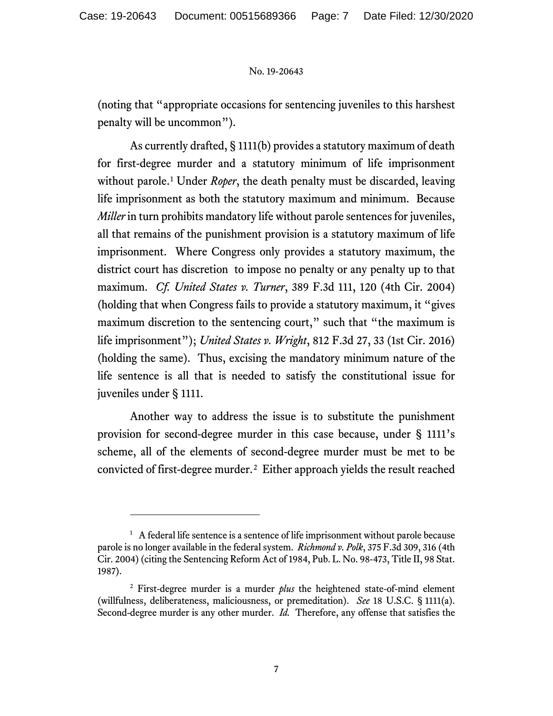(noting that "appropriate occasions for sentencing juveniles to this harshest penalty will be uncommon").

As currently drafted, § 1111(b) provides a statutory maximum of death for first-degree murder and a statutory minimum of life imprisonment without parole.<sup>[1](#page-6-0)</sup> Under *Roper*, the death penalty must be discarded, leaving life imprisonment as both the statutory maximum and minimum. Because *Miller* in turn prohibits mandatory life without parole sentences for juveniles, all that remains of the punishment provision is a statutory maximum of life imprisonment. Where Congress only provides a statutory maximum, the district court has discretion to impose no penalty or any penalty up to that maximum. *Cf. United States v. Turner*, 389 F.3d 111, 120 (4th Cir. 2004) (holding that when Congress fails to provide a statutory maximum, it "gives maximum discretion to the sentencing court," such that "the maximum is life imprisonment"); *United States v. Wright*, 812 F.3d 27, 33 (1st Cir. 2016) (holding the same). Thus, excising the mandatory minimum nature of the life sentence is all that is needed to satisfy the constitutional issue for juveniles under § 1111.

Another way to address the issue is to substitute the punishment provision for second-degree murder in this case because, under § 1111's scheme, all of the elements of second-degree murder must be met to be convicted of first-degree murder.[2](#page-6-1) Either approach yields the result reached

<span id="page-6-0"></span><sup>&</sup>lt;sup>1</sup> A federal life sentence is a sentence of life imprisonment without parole because parole is no longer available in the federal system. *Richmond v. Polk*, 375 F.3d 309, 316 (4th Cir. 2004) (citing the Sentencing Reform Act of 1984, Pub. L. No. 98-473, Title II, 98 Stat. 1987).

<span id="page-6-1"></span><sup>2</sup> First-degree murder is a murder *plus* the heightened state-of-mind element (willfulness, deliberateness, maliciousness, or premeditation). *See* 18 U.S.C. § 1111(a). Second-degree murder is any other murder. *Id.* Therefore, any offense that satisfies the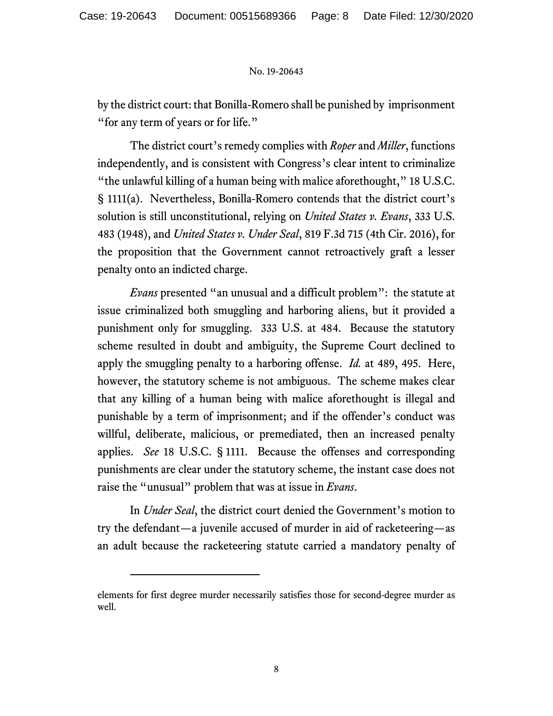by the district court: that Bonilla-Romero shall be punished by imprisonment "for any term of years or for life."

The district court's remedy complies with *Roper* and *Miller*, functions independently, and is consistent with Congress's clear intent to criminalize "the unlawful killing of a human being with malice aforethought," 18 U.S.C. § 1111(a). Nevertheless, Bonilla-Romero contends that the district court's solution is still unconstitutional, relying on *United States v. Evans*, 333 U.S. 483 (1948), and *United States v. Under Seal*, 819 F.3d 715 (4th Cir. 2016), for the proposition that the Government cannot retroactively graft a lesser penalty onto an indicted charge.

*Evans* presented "an unusual and a difficult problem": the statute at issue criminalized both smuggling and harboring aliens, but it provided a punishment only for smuggling. 333 U.S. at 484. Because the statutory scheme resulted in doubt and ambiguity, the Supreme Court declined to apply the smuggling penalty to a harboring offense. *Id.* at 489, 495. Here, however, the statutory scheme is not ambiguous. The scheme makes clear that any killing of a human being with malice aforethought is illegal and punishable by a term of imprisonment; and if the offender's conduct was willful, deliberate, malicious, or premediated, then an increased penalty applies. *See* 18 U.S.C. § 1111. Because the offenses and corresponding punishments are clear under the statutory scheme, the instant case does not raise the "unusual" problem that was at issue in *Evans*.

In *Under Seal*, the district court denied the Government's motion to try the defendant—a juvenile accused of murder in aid of racketeering—as an adult because the racketeering statute carried a mandatory penalty of

elements for first degree murder necessarily satisfies those for second-degree murder as well.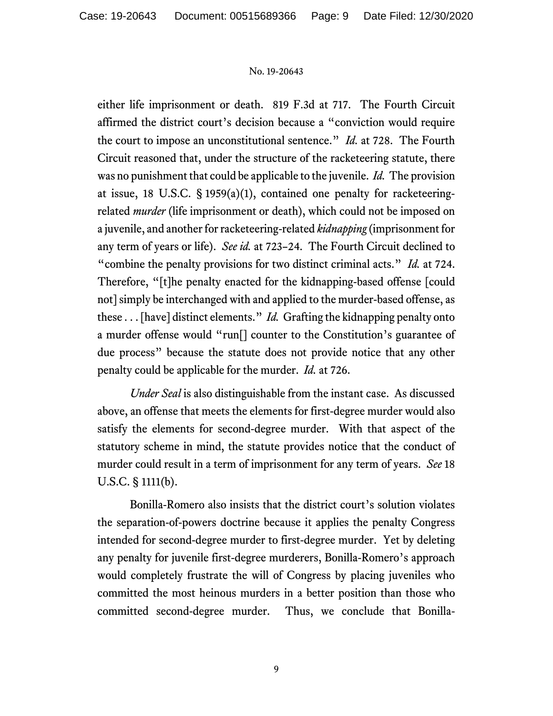either life imprisonment or death. 819 F.3d at 717. The Fourth Circuit affirmed the district court's decision because a "conviction would require the court to impose an unconstitutional sentence." *Id.* at 728. The Fourth Circuit reasoned that, under the structure of the racketeering statute, there was no punishment that could be applicable to the juvenile. *Id.* The provision at issue, 18 U.S.C. § 1959(a)(1), contained one penalty for racketeeringrelated *murder* (life imprisonment or death), which could not be imposed on a juvenile, and another for racketeering-related *kidnapping* (imprisonment for any term of years or life). *See id.* at 723–24. The Fourth Circuit declined to "combine the penalty provisions for two distinct criminal acts." *Id.* at 724. Therefore, "[t]he penalty enacted for the kidnapping-based offense [could not] simply be interchanged with and applied to the murder-based offense, as these . . . [have] distinct elements." *Id.* Grafting the kidnapping penalty onto a murder offense would "run[] counter to the Constitution's guarantee of due process" because the statute does not provide notice that any other penalty could be applicable for the murder. *Id.* at 726.

*Under Seal* is also distinguishable from the instant case. As discussed above, an offense that meets the elements for first-degree murder would also satisfy the elements for second-degree murder. With that aspect of the statutory scheme in mind, the statute provides notice that the conduct of murder could result in a term of imprisonment for any term of years. *See* 18 U.S.C. § 1111(b).

Bonilla-Romero also insists that the district court's solution violates the separation-of-powers doctrine because it applies the penalty Congress intended for second-degree murder to first-degree murder. Yet by deleting any penalty for juvenile first-degree murderers, Bonilla-Romero's approach would completely frustrate the will of Congress by placing juveniles who committed the most heinous murders in a better position than those who committed second-degree murder. Thus, we conclude that Bonilla-